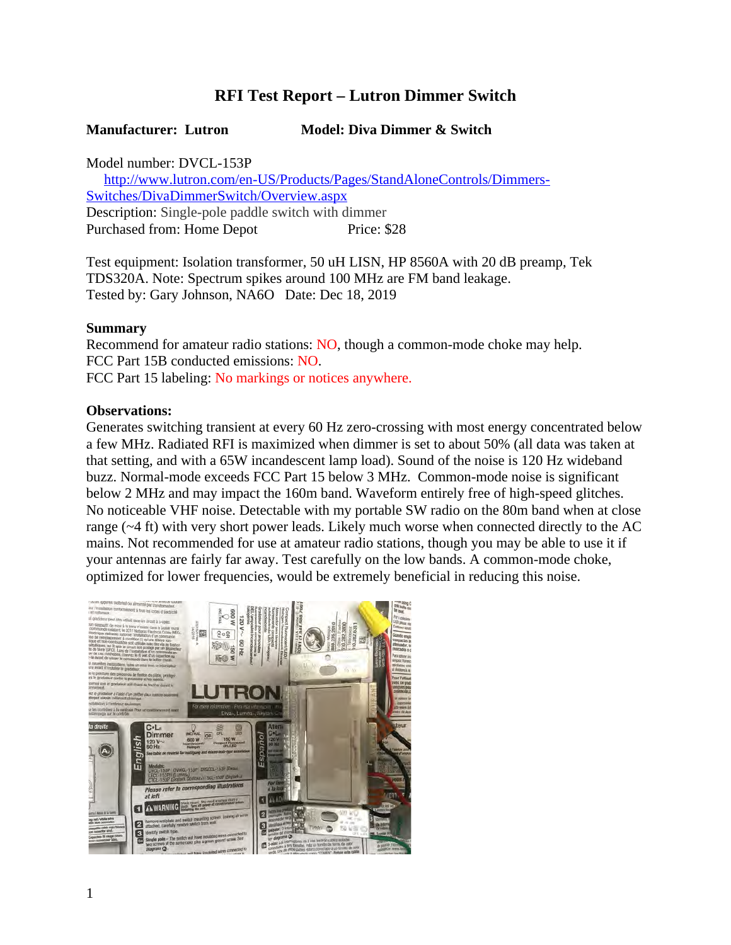# **RFI Test Report – Lutron Dimmer Switch**

### **Manufacturer: Lutron Model: Diva Dimmer & Switch**

Model number: DVCL-153P

 http://www.lutron.com/en-US/Products/Pages/StandAloneControls/Dimmers-Switches/DivaDimmerSwitch/Overview.aspx Description: Single-pole paddle switch with dimmer Purchased from: Home Depot Price: \$28

Test equipment: Isolation transformer, 50 uH LISN, HP 8560A with 20 dB preamp, Tek TDS320A. Note: Spectrum spikes around 100 MHz are FM band leakage. Tested by: Gary Johnson, NA6O Date: Dec 18, 2019

### **Summary**

Recommend for amateur radio stations: NO, though a common-mode choke may help. FCC Part 15B conducted emissions: NO. FCC Part 15 labeling: No markings or notices anywhere.

#### **Observations:**

Generates switching transient at every 60 Hz zero-crossing with most energy concentrated below a few MHz. Radiated RFI is maximized when dimmer is set to about 50% (all data was taken at that setting, and with a 65W incandescent lamp load). Sound of the noise is 120 Hz wideband buzz. Normal-mode exceeds FCC Part 15 below 3 MHz. Common-mode noise is significant below 2 MHz and may impact the 160m band. Waveform entirely free of high-speed glitches. No noticeable VHF noise. Detectable with my portable SW radio on the 80m band when at close range (~4 ft) with very short power leads. Likely much worse when connected directly to the AC mains. Not recommended for use at amateur radio stations, though you may be able to use it if your antennas are fairly far away. Test carefully on the low bands. A common-mode choke, optimized for lower frequencies, would be extremely beneficial in reducing this noise.

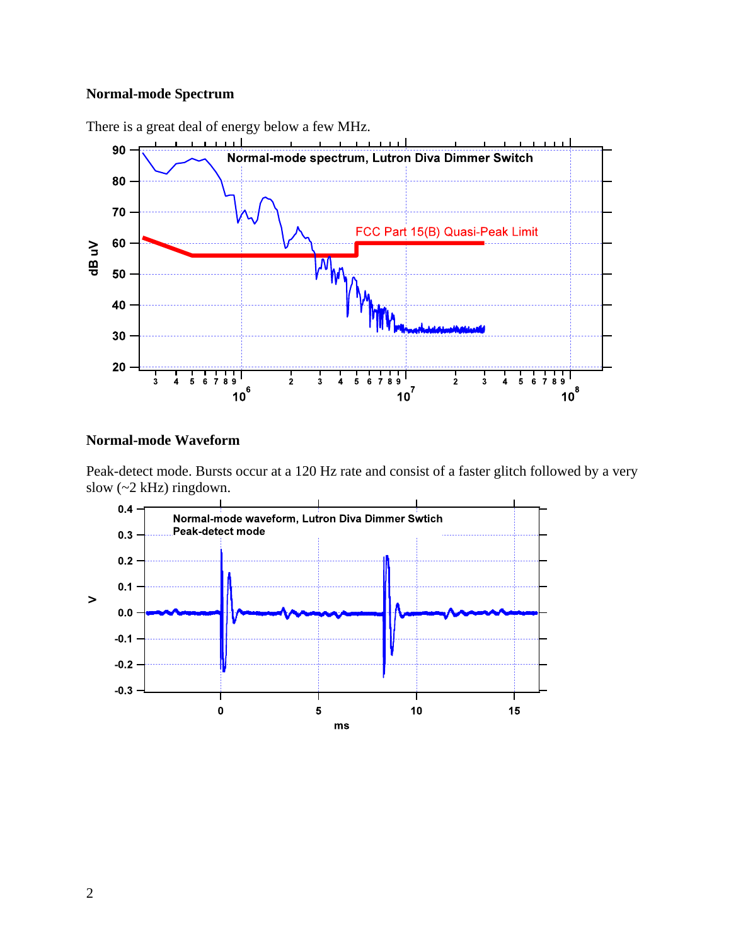## **Normal-mode Spectrum**



There is a great deal of energy below a few MHz.

### **Normal-mode Waveform**

Peak-detect mode. Bursts occur at a 120 Hz rate and consist of a faster glitch followed by a very slow (~2 kHz) ringdown.

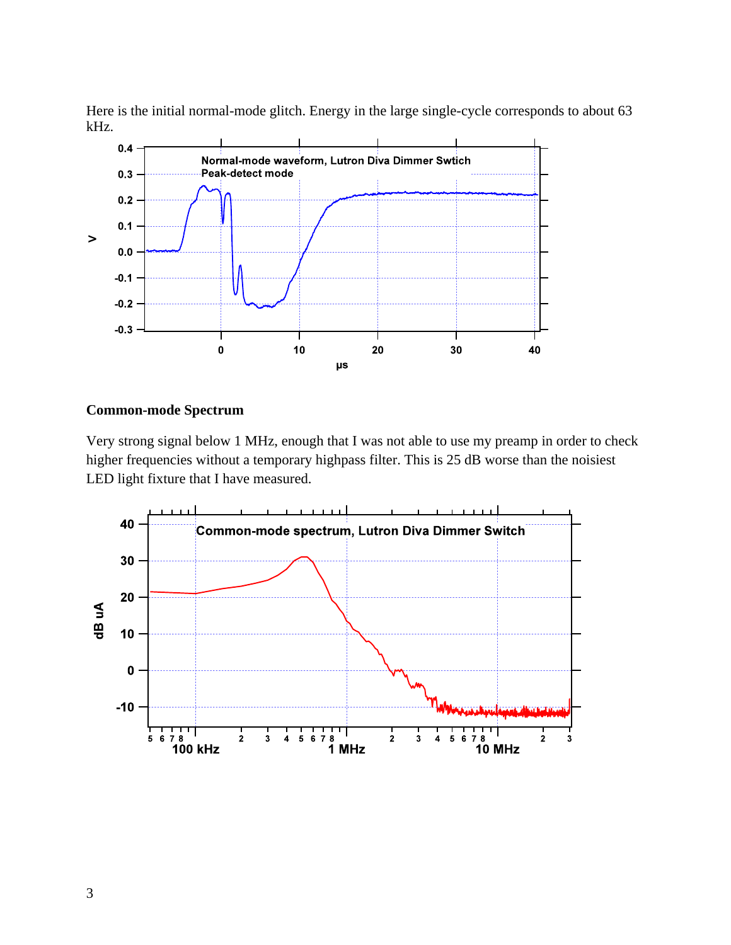Here is the initial normal-mode glitch. Energy in the large single-cycle corresponds to about 63 kHz.



## **Common-mode Spectrum**

Very strong signal below 1 MHz, enough that I was not able to use my preamp in order to check higher frequencies without a temporary highpass filter. This is 25 dB worse than the noisiest LED light fixture that I have measured.